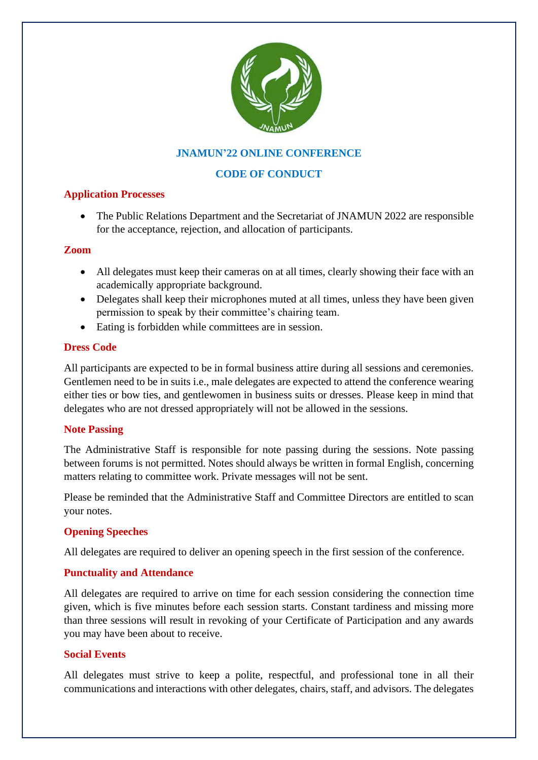

# **JNAMUN'22 ONLINE CONFERENCE**

# **CODE OF CONDUCT**

## **Application Processes**

• The Public Relations Department and the Secretariat of JNAMUN 2022 are responsible for the acceptance, rejection, and allocation of participants.

#### **Zoom**

- All delegates must keep their cameras on at all times, clearly showing their face with an academically appropriate background.
- Delegates shall keep their microphones muted at all times, unless they have been given permission to speak by their committee's chairing team.
- Eating is forbidden while committees are in session.

## **Dress Code**

All participants are expected to be in formal business attire during all sessions and ceremonies. Gentlemen need to be in suits i.e., male delegates are expected to attend the conference wearing either ties or bow ties, and gentlewomen in business suits or dresses. Please keep in mind that delegates who are not dressed appropriately will not be allowed in the sessions.

#### **Note Passing**

The Administrative Staff is responsible for note passing during the sessions. Note passing between forums is not permitted. Notes should always be written in formal English, concerning matters relating to committee work. Private messages will not be sent.

Please be reminded that the Administrative Staff and Committee Directors are entitled to scan your notes.

#### **Opening Speeches**

All delegates are required to deliver an opening speech in the first session of the conference.

## **Punctuality and Attendance**

All delegates are required to arrive on time for each session considering the connection time given, which is five minutes before each session starts. Constant tardiness and missing more than three sessions will result in revoking of your Certificate of Participation and any awards you may have been about to receive.

#### **Social Events**

All delegates must strive to keep a polite, respectful, and professional tone in all their communications and interactions with other delegates, chairs, staff, and advisors. The delegates